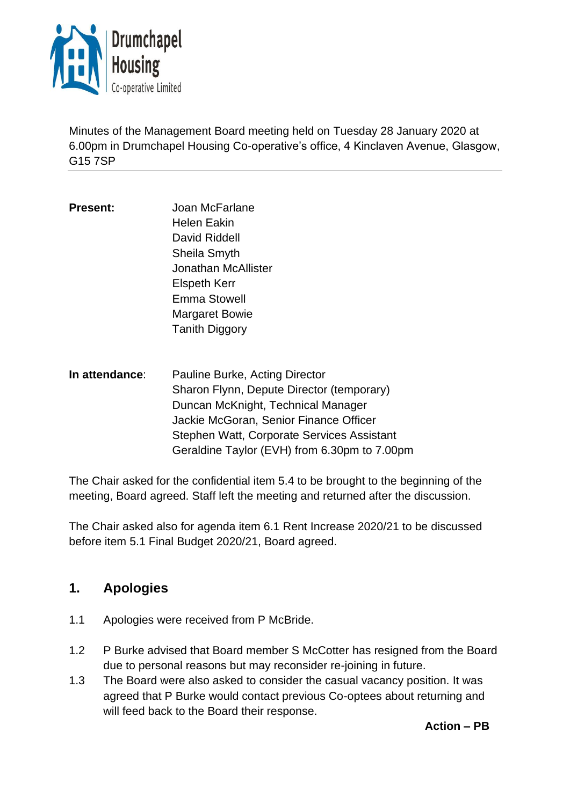

Minutes of the Management Board meeting held on Tuesday 28 January 2020 at 6.00pm in Drumchapel Housing Co-operative's office, 4 Kinclaven Avenue, Glasgow, G15 7SP

- **Present:** Joan McFarlane Helen Eakin David Riddell Sheila Smyth Jonathan McAllister Elspeth Kerr Emma Stowell Margaret Bowie Tanith Diggory
- **In attendance**: Pauline Burke, Acting Director Sharon Flynn, Depute Director (temporary) Duncan McKnight, Technical Manager Jackie McGoran, Senior Finance Officer Stephen Watt, Corporate Services Assistant Geraldine Taylor (EVH) from 6.30pm to 7.00pm

The Chair asked for the confidential item 5.4 to be brought to the beginning of the meeting, Board agreed. Staff left the meeting and returned after the discussion.

The Chair asked also for agenda item 6.1 Rent Increase 2020/21 to be discussed before item 5.1 Final Budget 2020/21, Board agreed.

# **1. Apologies**

- 1.1 Apologies were received from P McBride.
- 1.2 P Burke advised that Board member S McCotter has resigned from the Board due to personal reasons but may reconsider re-joining in future.
- 1.3 The Board were also asked to consider the casual vacancy position. It was agreed that P Burke would contact previous Co-optees about returning and will feed back to the Board their response.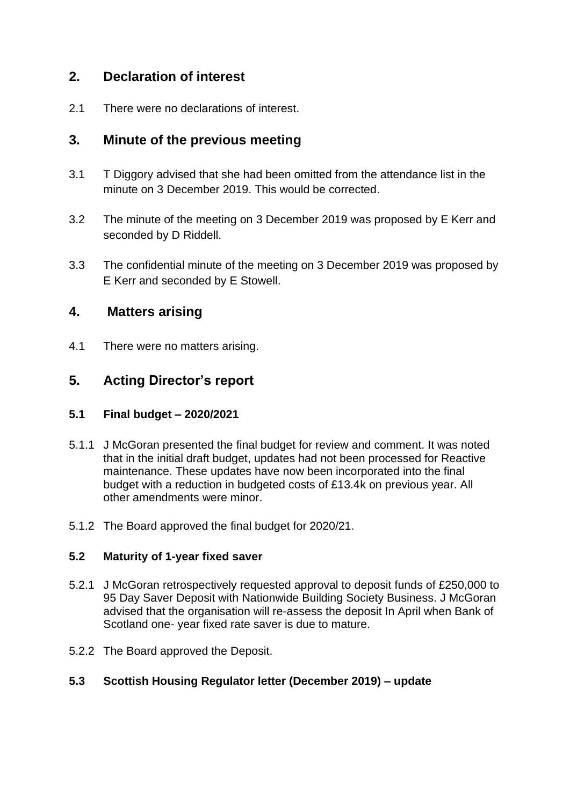## **2. Declaration of interest**

2.1 There were no declarations of interest.

## **3. Minute of the previous meeting**

- 3.1 T Diggory advised that she had been omitted from the attendance list in the minute on 3 December 2019. This would be corrected.
- 3.2 The minute of the meeting on 3 December 2019 was proposed by E Kerr and seconded by D Riddell.
- 3.3 The confidential minute of the meeting on 3 December 2019 was proposed by E Kerr and seconded by E Stowell.

## **4. Matters arising**

4.1 There were no matters arising.

# **5. Acting Director's report**

### **5.1 Final budget – 2020/2021**

- 5.1.1 J McGoran presented the final budget for review and comment. It was noted that in the initial draft budget, updates had not been processed for Reactive maintenance. These updates have now been incorporated into the final budget with a reduction in budgeted costs of £13.4k on previous year. All other amendments were minor.
- 5.1.2 The Board approved the final budget for 2020/21.

### **5.2 Maturity of 1-year fixed saver**

- 5.2.1 J McGoran retrospectively requested approval to deposit funds of £250,000 to 95 Day Saver Deposit with Nationwide Building Society Business. J McGoran advised that the organisation will re-assess the deposit In April when Bank of Scotland one- year fixed rate saver is due to mature.
- 5.2.2 The Board approved the Deposit.

### **5.3 Scottish Housing Regulator letter (December 2019) – update**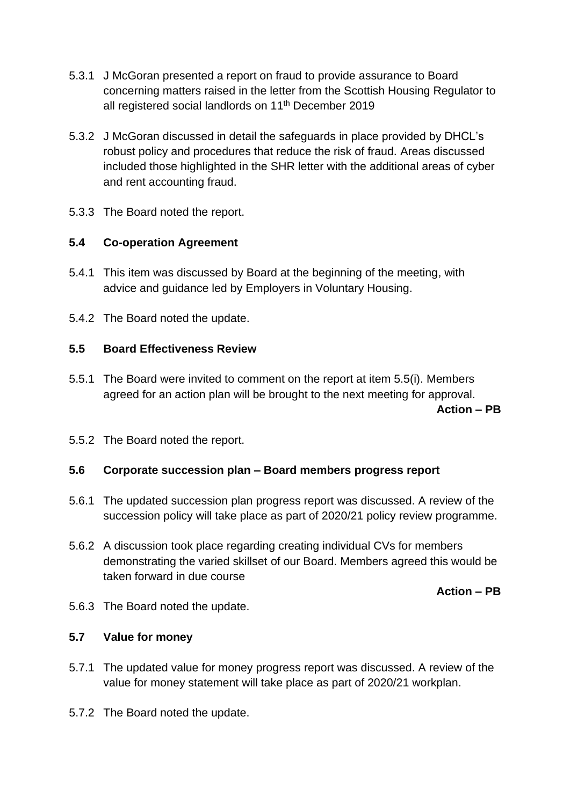- 5.3.1 J McGoran presented a report on fraud to provide assurance to Board concerning matters raised in the letter from the Scottish Housing Regulator to all registered social landlords on 11<sup>th</sup> December 2019
- 5.3.2 J McGoran discussed in detail the safeguards in place provided by DHCL's robust policy and procedures that reduce the risk of fraud. Areas discussed included those highlighted in the SHR letter with the additional areas of cyber and rent accounting fraud.
- 5.3.3 The Board noted the report.

## **5.4 Co-operation Agreement**

- 5.4.1 This item was discussed by Board at the beginning of the meeting, with advice and guidance led by Employers in Voluntary Housing.
- 5.4.2 The Board noted the update.

### **5.5 Board Effectiveness Review**

- 5.5.1 The Board were invited to comment on the report at item 5.5(i). Members agreed for an action plan will be brought to the next meeting for approval. **Action – PB**
- 5.5.2 The Board noted the report.

### **5.6 Corporate succession plan – Board members progress report**

- 5.6.1 The updated succession plan progress report was discussed. A review of the succession policy will take place as part of 2020/21 policy review programme.
- 5.6.2 A discussion took place regarding creating individual CVs for members demonstrating the varied skillset of our Board. Members agreed this would be taken forward in due course

#### **Action – PB**

5.6.3 The Board noted the update.

### **5.7 Value for money**

- 5.7.1 The updated value for money progress report was discussed. A review of the value for money statement will take place as part of 2020/21 workplan.
- 5.7.2 The Board noted the update.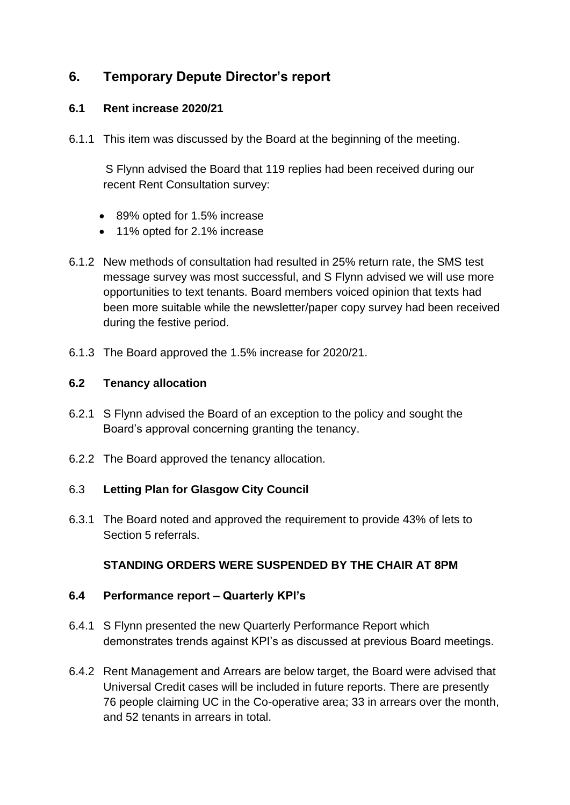# **6. Temporary Depute Director's report**

#### **6.1 Rent increase 2020/21**

6.1.1 This item was discussed by the Board at the beginning of the meeting.

 S Flynn advised the Board that 119 replies had been received during our recent Rent Consultation survey:

- 89% opted for 1.5% increase
- 11% opted for 2.1% increase
- 6.1.2 New methods of consultation had resulted in 25% return rate, the SMS test message survey was most successful, and S Flynn advised we will use more opportunities to text tenants. Board members voiced opinion that texts had been more suitable while the newsletter/paper copy survey had been received during the festive period.
- 6.1.3 The Board approved the 1.5% increase for 2020/21.

#### **6.2 Tenancy allocation**

- 6.2.1 S Flynn advised the Board of an exception to the policy and sought the Board's approval concerning granting the tenancy.
- 6.2.2 The Board approved the tenancy allocation.

#### 6.3 **Letting Plan for Glasgow City Council**

6.3.1 The Board noted and approved the requirement to provide 43% of lets to Section 5 referrals.

### **STANDING ORDERS WERE SUSPENDED BY THE CHAIR AT 8PM**

#### **6.4 Performance report – Quarterly KPI's**

- 6.4.1 S Flynn presented the new Quarterly Performance Report which demonstrates trends against KPI's as discussed at previous Board meetings.
- 6.4.2 Rent Management and Arrears are below target, the Board were advised that Universal Credit cases will be included in future reports. There are presently 76 people claiming UC in the Co-operative area; 33 in arrears over the month, and 52 tenants in arrears in total.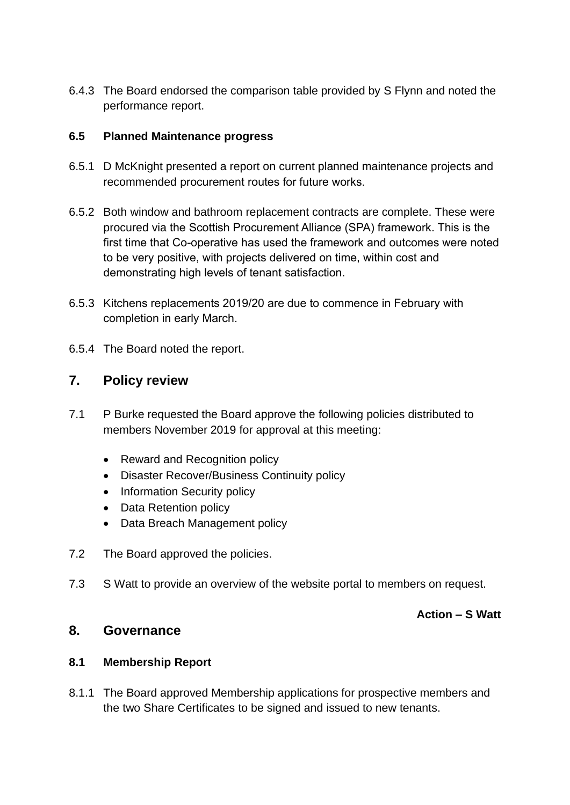6.4.3 The Board endorsed the comparison table provided by S Flynn and noted the performance report.

### **6.5 Planned Maintenance progress**

- 6.5.1 D McKnight presented a report on current planned maintenance projects and recommended procurement routes for future works.
- 6.5.2 Both window and bathroom replacement contracts are complete. These were procured via the Scottish Procurement Alliance (SPA) framework. This is the first time that Co-operative has used the framework and outcomes were noted to be very positive, with projects delivered on time, within cost and demonstrating high levels of tenant satisfaction.
- 6.5.3 Kitchens replacements 2019/20 are due to commence in February with completion in early March.
- 6.5.4 The Board noted the report.

### **7. Policy review**

- 7.1 P Burke requested the Board approve the following policies distributed to members November 2019 for approval at this meeting:
	- Reward and Recognition policy
	- Disaster Recover/Business Continuity policy
	- Information Security policy
	- Data Retention policy
	- Data Breach Management policy
- 7.2 The Board approved the policies.
- 7.3 S Watt to provide an overview of the website portal to members on request.

#### **Action – S Watt**

## **8. Governance**

#### **8.1 Membership Report**

8.1.1 The Board approved Membership applications for prospective members and the two Share Certificates to be signed and issued to new tenants.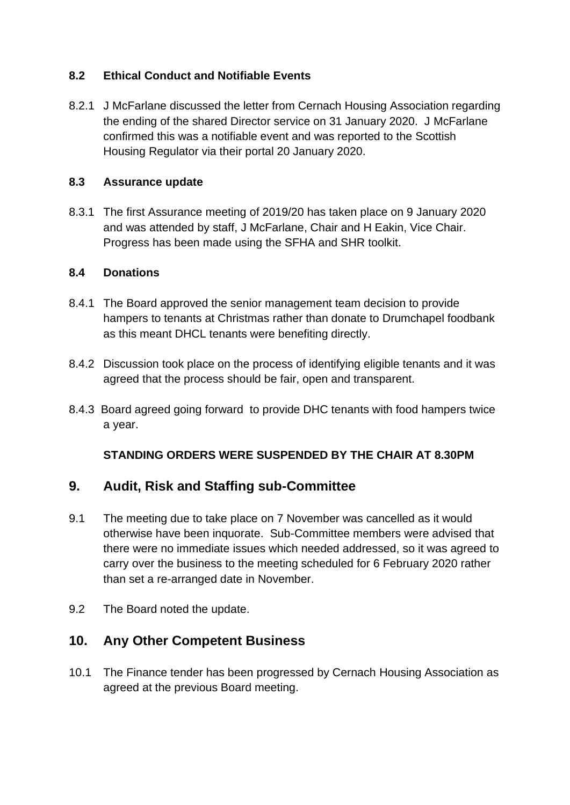### **8.2 Ethical Conduct and Notifiable Events**

8.2.1 J McFarlane discussed the letter from Cernach Housing Association regarding the ending of the shared Director service on 31 January 2020. J McFarlane confirmed this was a notifiable event and was reported to the Scottish Housing Regulator via their portal 20 January 2020.

### **8.3 Assurance update**

8.3.1 The first Assurance meeting of 2019/20 has taken place on 9 January 2020 and was attended by staff, J McFarlane, Chair and H Eakin, Vice Chair. Progress has been made using the SFHA and SHR toolkit.

### **8.4 Donations**

- 8.4.1 The Board approved the senior management team decision to provide hampers to tenants at Christmas rather than donate to Drumchapel foodbank as this meant DHCL tenants were benefiting directly.
- 8.4.2 Discussion took place on the process of identifying eligible tenants and it was agreed that the process should be fair, open and transparent.
- 8.4.3 Board agreed going forward to provide DHC tenants with food hampers twice a year.

## **STANDING ORDERS WERE SUSPENDED BY THE CHAIR AT 8.30PM**

# **9. Audit, Risk and Staffing sub-Committee**

- 9.1 The meeting due to take place on 7 November was cancelled as it would otherwise have been inquorate. Sub-Committee members were advised that there were no immediate issues which needed addressed, so it was agreed to carry over the business to the meeting scheduled for 6 February 2020 rather than set a re-arranged date in November.
- 9.2 The Board noted the update.

# **10. Any Other Competent Business**

10.1 The Finance tender has been progressed by Cernach Housing Association as agreed at the previous Board meeting.